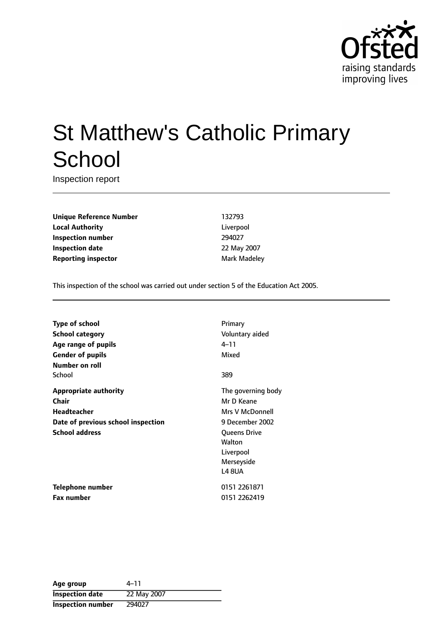

# St Matthew's Catholic Primary **School**

Inspection report

**Unique Reference Number** 132793 **Local Authority** Liverpool **Inspection number** 294027 **Inspection date** 22 May 2007 **Reporting inspector** Mark Madeley

This inspection of the school was carried out under section 5 of the Education Act 2005.

| <b>Type of school</b>              | Primary            |
|------------------------------------|--------------------|
| <b>School category</b>             | Voluntary aided    |
| Age range of pupils                | 4–11               |
| <b>Gender of pupils</b>            | Mixed              |
| Number on roll                     |                    |
| School                             | 389                |
| <b>Appropriate authority</b>       | The governing body |
| Chair                              | Mr D Keane         |
| Headteacher                        | Mrs V McDonnell    |
| Date of previous school inspection | 9 December 2002    |
| <b>School address</b>              | Queens Drive       |
|                                    | Walton             |
|                                    | Liverpool          |
|                                    | Merseyside         |
|                                    | <b>L4 8UA</b>      |
| <b>Telephone number</b>            | 0151 2261871       |
| <b>Fax number</b>                  | 0151 2262419       |

| Age group                | 4–11        |
|--------------------------|-------------|
| <b>Inspection date</b>   | 22 May 2007 |
| <b>Inspection number</b> | 294027      |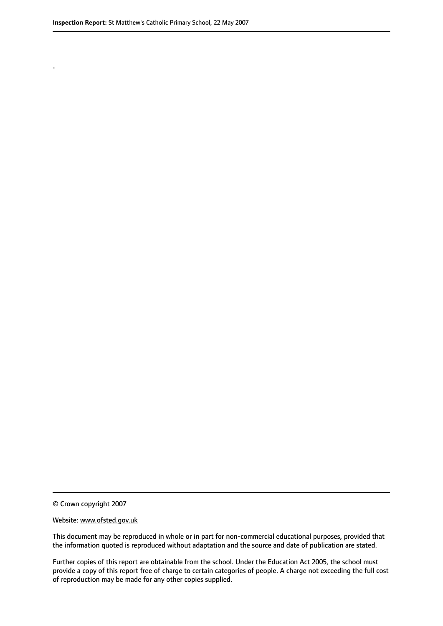.

© Crown copyright 2007

#### Website: www.ofsted.gov.uk

This document may be reproduced in whole or in part for non-commercial educational purposes, provided that the information quoted is reproduced without adaptation and the source and date of publication are stated.

Further copies of this report are obtainable from the school. Under the Education Act 2005, the school must provide a copy of this report free of charge to certain categories of people. A charge not exceeding the full cost of reproduction may be made for any other copies supplied.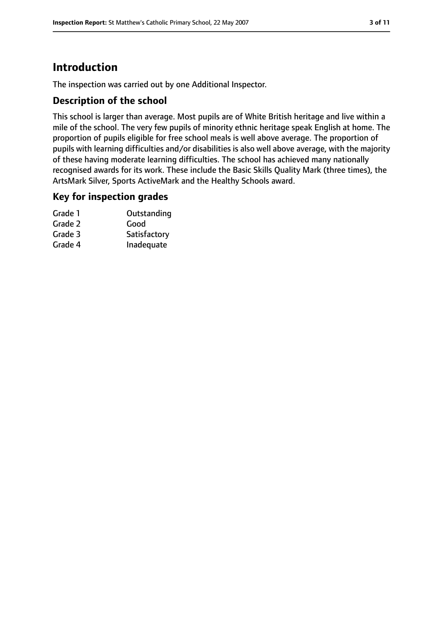# **Introduction**

The inspection was carried out by one Additional Inspector.

## **Description of the school**

This school is larger than average. Most pupils are of White British heritage and live within a mile of the school. The very few pupils of minority ethnic heritage speak English at home. The proportion of pupils eligible for free school meals is well above average. The proportion of pupils with learning difficulties and/or disabilities is also well above average, with the majority of these having moderate learning difficulties. The school has achieved many nationally recognised awards for its work. These include the Basic Skills Quality Mark (three times), the ArtsMark Silver, Sports ActiveMark and the Healthy Schools award.

### **Key for inspection grades**

| Outstanding  |
|--------------|
| Good         |
| Satisfactory |
| Inadequate   |
|              |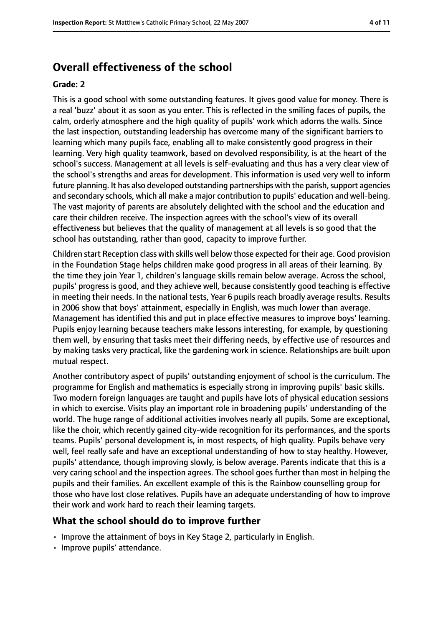# **Overall effectiveness of the school**

#### **Grade: 2**

This is a good school with some outstanding features. It gives good value for money. There is a real 'buzz' about it as soon as you enter. This is reflected in the smiling faces of pupils, the calm, orderly atmosphere and the high quality of pupils' work which adorns the walls. Since the last inspection, outstanding leadership has overcome many of the significant barriers to learning which many pupils face, enabling all to make consistently good progress in their learning. Very high quality teamwork, based on devolved responsibility, is at the heart of the school's success. Management at all levels is self-evaluating and thus has a very clear view of the school's strengths and areas for development. This information is used very well to inform future planning. It has also developed outstanding partnerships with the parish, support agencies and secondary schools, which all make a major contribution to pupils' education and well-being. The vast majority of parents are absolutely delighted with the school and the education and care their children receive. The inspection agrees with the school's view of its overall effectiveness but believes that the quality of management at all levels is so good that the school has outstanding, rather than good, capacity to improve further.

Children start Reception class with skills well below those expected for their age. Good provision in the Foundation Stage helps children make good progress in all areas of their learning. By the time they join Year 1, children's language skills remain below average. Across the school, pupils' progress is good, and they achieve well, because consistently good teaching is effective in meeting their needs. In the national tests, Year 6 pupils reach broadly average results. Results in 2006 show that boys' attainment, especially in English, was much lower than average. Management has identified this and put in place effective measures to improve boys' learning. Pupils enjoy learning because teachers make lessons interesting, for example, by questioning them well, by ensuring that tasks meet their differing needs, by effective use of resources and by making tasks very practical, like the gardening work in science. Relationships are built upon mutual respect.

Another contributory aspect of pupils' outstanding enjoyment of school is the curriculum. The programme for English and mathematics is especially strong in improving pupils' basic skills. Two modern foreign languages are taught and pupils have lots of physical education sessions in which to exercise. Visits play an important role in broadening pupils' understanding of the world. The huge range of additional activities involves nearly all pupils. Some are exceptional, like the choir, which recently gained city-wide recognition for its performances, and the sports teams. Pupils' personal development is, in most respects, of high quality. Pupils behave very well, feel really safe and have an exceptional understanding of how to stay healthy. However, pupils' attendance, though improving slowly, is below average. Parents indicate that this is a very caring school and the inspection agrees. The school goes further than most in helping the pupils and their families. An excellent example of this is the Rainbow counselling group for those who have lost close relatives. Pupils have an adequate understanding of how to improve their work and work hard to reach their learning targets.

#### **What the school should do to improve further**

- Improve the attainment of boys in Key Stage 2, particularly in English.
- Improve pupils' attendance.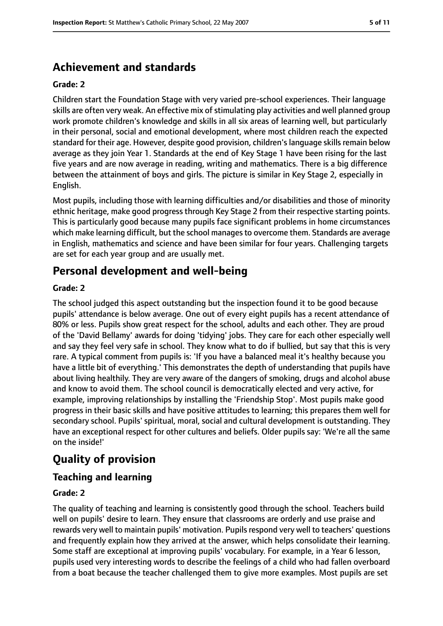# **Achievement and standards**

#### **Grade: 2**

Children start the Foundation Stage with very varied pre-school experiences. Their language skills are often very weak. An effective mix of stimulating play activities and well planned group work promote children's knowledge and skills in all six areas of learning well, but particularly in their personal, social and emotional development, where most children reach the expected standard for their age. However, despite good provision, children's language skills remain below average as they join Year 1. Standards at the end of Key Stage 1 have been rising for the last five years and are now average in reading, writing and mathematics. There is a big difference between the attainment of boys and girls. The picture is similar in Key Stage 2, especially in English.

Most pupils, including those with learning difficulties and/or disabilities and those of minority ethnic heritage, make good progress through Key Stage 2 from their respective starting points. This is particularly good because many pupils face significant problems in home circumstances which make learning difficult, but the school manages to overcome them. Standards are average in English, mathematics and science and have been similar for four years. Challenging targets are set for each year group and are usually met.

# **Personal development and well-being**

#### **Grade: 2**

The school judged this aspect outstanding but the inspection found it to be good because pupils' attendance is below average. One out of every eight pupils has a recent attendance of 80% or less. Pupils show great respect for the school, adults and each other. They are proud of the 'David Bellamy' awards for doing 'tidying' jobs. They care for each other especially well and say they feel very safe in school. They know what to do if bullied, but say that this is very rare. A typical comment from pupils is: 'If you have a balanced meal it's healthy because you have a little bit of everything.' This demonstrates the depth of understanding that pupils have about living healthily. They are very aware of the dangers of smoking, drugs and alcohol abuse and know to avoid them. The school council is democratically elected and very active, for example, improving relationships by installing the 'Friendship Stop'. Most pupils make good progress in their basic skills and have positive attitudes to learning; this prepares them well for secondary school. Pupils' spiritual, moral, social and cultural development is outstanding. They have an exceptional respect for other cultures and beliefs. Older pupils say: 'We're all the same on the inside!'

# **Quality of provision**

## **Teaching and learning**

#### **Grade: 2**

The quality of teaching and learning is consistently good through the school. Teachers build well on pupils' desire to learn. They ensure that classrooms are orderly and use praise and rewards very well to maintain pupils' motivation. Pupils respond very well to teachers' questions and frequently explain how they arrived at the answer, which helps consolidate their learning. Some staff are exceptional at improving pupils' vocabulary. For example, in a Year 6 lesson, pupils used very interesting words to describe the feelings of a child who had fallen overboard from a boat because the teacher challenged them to give more examples. Most pupils are set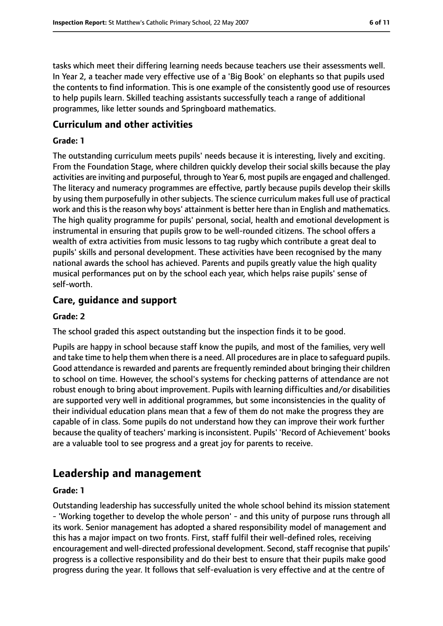tasks which meet their differing learning needs because teachers use their assessments well. In Year 2, a teacher made very effective use of a 'Big Book' on elephants so that pupils used the contents to find information. This is one example of the consistently good use of resources to help pupils learn. Skilled teaching assistants successfully teach a range of additional programmes, like letter sounds and Springboard mathematics.

### **Curriculum and other activities**

#### **Grade: 1**

The outstanding curriculum meets pupils' needs because it is interesting, lively and exciting. From the Foundation Stage, where children quickly develop their social skills because the play activities are inviting and purposeful, through to Year 6, most pupils are engaged and challenged. The literacy and numeracy programmes are effective, partly because pupils develop their skills by using them purposefully in other subjects. The science curriculum makes full use of practical work and this is the reason why boys' attainment is better here than in English and mathematics. The high quality programme for pupils' personal, social, health and emotional development is instrumental in ensuring that pupils grow to be well-rounded citizens. The school offers a wealth of extra activities from music lessons to tag rugby which contribute a great deal to pupils' skills and personal development. These activities have been recognised by the many national awards the school has achieved. Parents and pupils greatly value the high quality musical performances put on by the school each year, which helps raise pupils' sense of self-worth.

### **Care, guidance and support**

#### **Grade: 2**

The school graded this aspect outstanding but the inspection finds it to be good.

Pupils are happy in school because staff know the pupils, and most of the families, very well and take time to help them when there is a need. All procedures are in place to safeguard pupils. Good attendance is rewarded and parents are frequently reminded about bringing their children to school on time. However, the school's systems for checking patterns of attendance are not robust enough to bring about improvement. Pupils with learning difficulties and/or disabilities are supported very well in additional programmes, but some inconsistencies in the quality of their individual education plans mean that a few of them do not make the progress they are capable of in class. Some pupils do not understand how they can improve their work further because the quality of teachers' marking isinconsistent. Pupils' 'Record of Achievement' books are a valuable tool to see progress and a great joy for parents to receive.

# **Leadership and management**

#### **Grade: 1**

Outstanding leadership has successfully united the whole school behind its mission statement - 'Working together to develop the whole person' - and this unity of purpose runs through all its work. Senior management has adopted a shared responsibility model of management and this has a major impact on two fronts. First, staff fulfil their well-defined roles, receiving encouragement and well-directed professional development. Second, staff recognise that pupils' progress is a collective responsibility and do their best to ensure that their pupils make good progress during the year. It follows that self-evaluation is very effective and at the centre of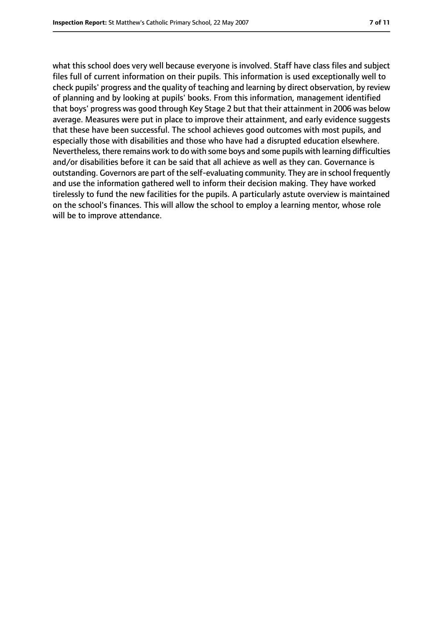what this school does very well because everyone is involved. Staff have class files and subject files full of current information on their pupils. This information is used exceptionally well to check pupils' progress and the quality of teaching and learning by direct observation, by review of planning and by looking at pupils' books. From this information, management identified that boys' progress was good through Key Stage 2 but that their attainment in 2006 was below average. Measures were put in place to improve their attainment, and early evidence suggests that these have been successful. The school achieves good outcomes with most pupils, and especially those with disabilities and those who have had a disrupted education elsewhere. Nevertheless, there remains work to do with some boys and some pupils with learning difficulties and/or disabilities before it can be said that all achieve as well as they can. Governance is outstanding. Governors are part of the self-evaluating community. They are in school frequently and use the information gathered well to inform their decision making. They have worked tirelessly to fund the new facilities for the pupils. A particularly astute overview is maintained on the school's finances. This will allow the school to employ a learning mentor, whose role will be to improve attendance.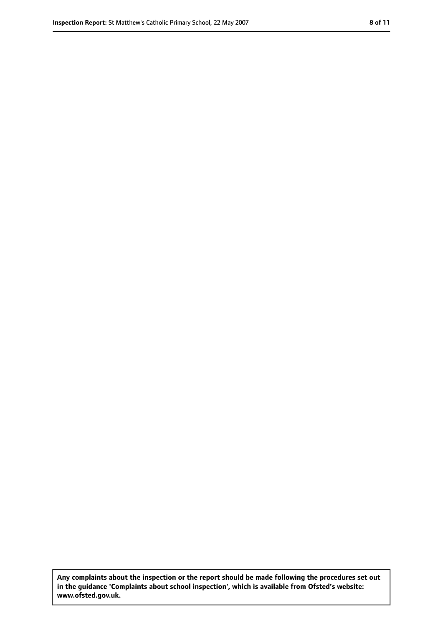**Any complaints about the inspection or the report should be made following the procedures set out in the guidance 'Complaints about school inspection', which is available from Ofsted's website: www.ofsted.gov.uk.**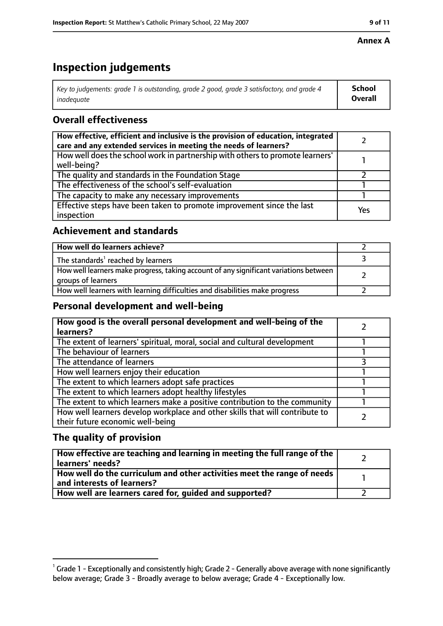#### **Annex A**

# **Inspection judgements**

| Key to judgements: grade 1 is outstanding, grade 2 good, grade 3 satisfactory, and grade 4 | School  |
|--------------------------------------------------------------------------------------------|---------|
| inadequate                                                                                 | Overall |

# **Overall effectiveness**

| How effective, efficient and inclusive is the provision of education, integrated<br>care and any extended services in meeting the needs of learners? |     |
|------------------------------------------------------------------------------------------------------------------------------------------------------|-----|
| How well does the school work in partnership with others to promote learners'<br>well-being?                                                         |     |
| The quality and standards in the Foundation Stage                                                                                                    |     |
| The effectiveness of the school's self-evaluation                                                                                                    |     |
| The capacity to make any necessary improvements                                                                                                      |     |
| Effective steps have been taken to promote improvement since the last<br>inspection                                                                  | Yes |

## **Achievement and standards**

| How well do learners achieve?                                                                               |  |
|-------------------------------------------------------------------------------------------------------------|--|
| The standards <sup>1</sup> reached by learners                                                              |  |
| How well learners make progress, taking account of any significant variations between<br>groups of learners |  |
| How well learners with learning difficulties and disabilities make progress                                 |  |

## **Personal development and well-being**

| How good is the overall personal development and well-being of the<br>learners? |  |
|---------------------------------------------------------------------------------|--|
| The extent of learners' spiritual, moral, social and cultural development       |  |
|                                                                                 |  |
| The behaviour of learners                                                       |  |
| The attendance of learners                                                      |  |
| How well learners enjoy their education                                         |  |
| The extent to which learners adopt safe practices                               |  |
| The extent to which learners adopt healthy lifestyles                           |  |
| The extent to which learners make a positive contribution to the community      |  |
| How well learners develop workplace and other skills that will contribute to    |  |
| their future economic well-being                                                |  |

# **The quality of provision**

| How effective are teaching and learning in meeting the full range of the<br>learners' needs?          |  |
|-------------------------------------------------------------------------------------------------------|--|
| How well do the curriculum and other activities meet the range of needs<br>and interests of learners? |  |
| How well are learners cared for, quided and supported?                                                |  |

 $^1$  Grade 1 - Exceptionally and consistently high; Grade 2 - Generally above average with none significantly below average; Grade 3 - Broadly average to below average; Grade 4 - Exceptionally low.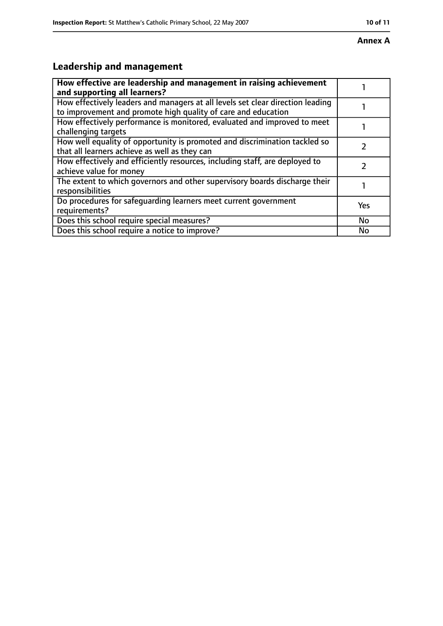#### **Annex A**

# **Leadership and management**

| How effective are leadership and management in raising achievement<br>and supporting all learners?                                              |     |
|-------------------------------------------------------------------------------------------------------------------------------------------------|-----|
| How effectively leaders and managers at all levels set clear direction leading<br>to improvement and promote high quality of care and education |     |
| How effectively performance is monitored, evaluated and improved to meet<br>challenging targets                                                 |     |
| How well equality of opportunity is promoted and discrimination tackled so<br>that all learners achieve as well as they can                     |     |
| How effectively and efficiently resources, including staff, are deployed to<br>achieve value for money                                          |     |
| The extent to which governors and other supervisory boards discharge their<br>responsibilities                                                  |     |
| Do procedures for safeguarding learners meet current government<br>requirements?                                                                | Yes |
| Does this school require special measures?                                                                                                      | No  |
| Does this school require a notice to improve?                                                                                                   | No  |